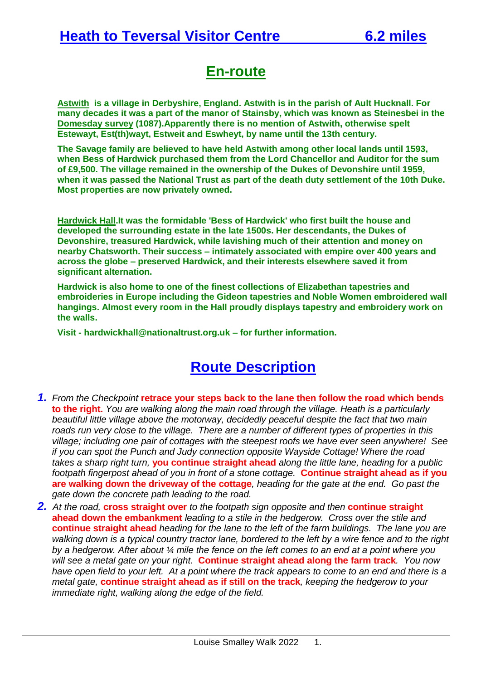### **En-route**

**Astwith is a village in [Derbyshire,](https://en.wikipedia.org/wiki/Derbyshire) England. Astwith is in the parish of [Ault Hucknall.](https://en.wikipedia.org/wiki/Ault_Hucknall) For many decades it was a part of the manor of [Stainsby,](https://en.wikipedia.org/wiki/Stainsby,_Derbyshire) which was known as Steinesbei in the [Domesday survey](https://en.wikipedia.org/wiki/Domesday_survey) (1087).Apparently there is no mention of Astwith, otherwise spelt Estewayt, Est(th)wayt, Estweit and Eswheyt, by name until the 13th century.**

**The Savage family are believed to have held Astwith among other local lands until 1593, when [Bess of Hardwick](https://en.wikipedia.org/wiki/Bess_of_Hardwick) purchased them from the Lord Chancellor and Auditor for the sum of £9,500. The village remained in the ownership of the Dukes [of Devonshire](https://en.wikipedia.org/wiki/Dukes_of_Devonshire) until 1959, when it was passed the [National Trust](https://en.wikipedia.org/wiki/National_Trust_for_Places_of_Historic_Interest_or_Natural_Beauty) as part of the death duty settlement of the 10th Duke. Most properties are now privately owned.**

**Hardwick Hall.It was the formidable 'Bess of Hardwick' who first built the house and developed the surrounding estate in the late 1500s. Her descendants, the Dukes of Devonshire, treasured Hardwick, while lavishing much of their attention and money on nearby Chatsworth. Their success – intimately associated with empire over 400 years and across the globe – preserved Hardwick, and their interests elsewhere saved it from significant alternation.**

**Hardwick is also home to one of the finest collections of Elizabethan tapestries and embroideries in Europe including the Gideon tapestries and Noble Women embroidered wall hangings. Almost every room in the Hall proudly displays tapestry and embroidery work on the walls.**

**Visit - [hardwickhall@nationaltrust.org.uk](mailto:hardwickhall@nationaltrust.org.uk) – for further information.**

## **Route Description**

- *1. From the Checkpoint* **retrace your steps back to the lane then follow the road which bends to the right.** *You are walking along the main road through the village. Heath is a particularly beautiful little village above the motorway, decidedly peaceful despite the fact that two main roads run very close to the village. There are a number of different types of properties in this village; including one pair of cottages with the steepest roofs we have ever seen anywhere! See if you can spot the Punch and Judy connection opposite Wayside Cottage! Where the road takes a sharp right turn,* **you continue straight ahead** *along the little lane, heading for a public footpath fingerpost ahead of you in front of a stone cottage.* **Continue straight ahead as if you are walking down the driveway of the cottage***, heading for the gate at the end. Go past the gate down the concrete path leading to the road.*
- *2. At the road,* **cross straight over** *to the footpath sign opposite and then* **continue straight ahead down the embankment** *leading to a stile in the hedgerow. Cross over the stile and*  **continue straight ahead** *heading for the lane to the left of the farm buildings. The lane you are walking down is a typical country tractor lane, bordered to the left by a wire fence and to the right by a hedgerow. After about ¼ mile the fence on the left comes to an end at a point where you will see a metal gate on your right.* **Continue straight ahead along the farm track***. You now have open field to your left. At a point where the track appears to come to an end and there is a metal gate,* **continue straight ahead as if still on the track***, keeping the hedgerow to your immediate right, walking along the edge of the field.*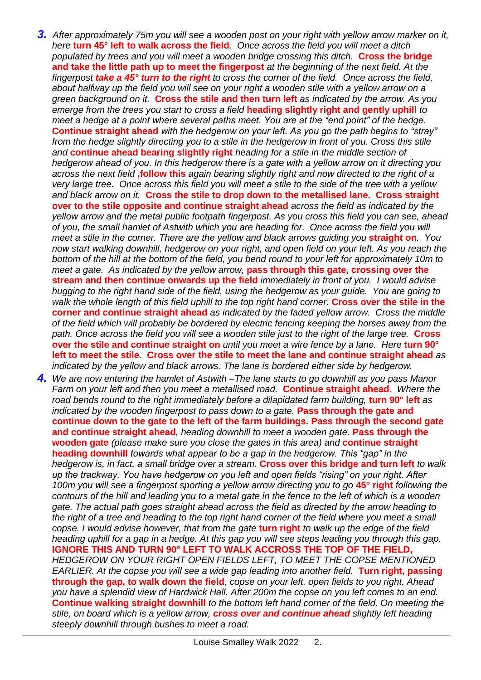- *3. After approximately 75m you will see a wooden post on your right with yellow arrow marker on it, here* **turn 45° left to walk across the field***. Once across the field you will meet a ditch populated by trees and you will meet a wooden bridge crossing this ditch.* **Cross the bridge and take the little path up to meet the fingerpost** *at the beginning of the next field. At the fingerpost take a 45° turn to the right to cross the corner of the field. Once across the field, about halfway up the field you will see on your right a wooden stile with a yellow arrow on a green background on it.* **Cross the stile and then turn left** *as indicated by the arrow. As you emerge from the trees you start to cross a field* **heading slightly right and gently uphill** *to meet a hedge at a point where several paths meet. You are at the "end point" of the hedge.*  **Continue straight ahead** *with the hedgerow on your left. As you go the path begins to "stray" from the hedge slightly directing you to a stile in the hedgerow in front of you. Cross this stile and* **continue ahead bearing slightly right** *heading for a stile in the middle section of hedgerow ahead of you. In this hedgerow there is a gate with a yellow arrow on it directing you across the next field* **,follow this** *again bearing slightly right and now directed to the right of a very large tree. Once across this field you will meet a stile to the side of the tree with a yellow and black arrow on it.* **Cross the stile to drop down to the metallised lane. Cross straight over to the stile opposite and continue straight ahead** *across the field as indicated by the yellow arrow and the metal public footpath fingerpost. As you cross this field you can see, ahead of you, the small hamlet of Astwith which you are heading for. Once across the field you will meet a stile in the corner. There are the yellow and black arrows quiding you straight on. You now start walking downhill, hedgerow on your right, and open field on your left. As you reach the bottom of the hill at the bottom of the field, you bend round to your left for approximately 10m to meet a gate. As indicated by the yellow arrow,* **pass through this gate, crossing over the stream and then continue onwards up the field** *immediately in front of you. I would advise hugging to the right hand side of the field, using the hedgerow as your guide. You are going to walk the whole length of this field uphill to the top right hand corner.* **Cross over the stile in the corner and continue straight ahead** *as indicated by the faded yellow arrow. Cross the middle of the field which will probably be bordered by electric fencing keeping the horses away from the path. Once across the field you will see a wooden stile just to the right of the large tree.* **Cross over the stile and continue straight on** *until you meet a wire fence by a lane. Here* **turn 90° left to meet the stile. Cross over the stile to meet the lane and continue straight ahead** *as indicated by the yellow and black arrows. The lane is bordered either side by hedgerow.*
- *4. We are now entering the hamlet of Astwith –The lane starts to go downhill as you pass Manor Farm on your left and then you meet a metallised road.* **Continue straight ahead.** *Where the road bends round to the right immediately before a dilapidated farm building,* **turn 90° left** *as indicated by the wooden fingerpost to pass down to a gate.* **Pass through the gate and continue down to the gate to the left of the farm buildings. Pass through the second gate and continue straight ahead***, heading downhill to meet a wooden gate.* **Pass through the wooden gate** *(please make sure you close the gates in this area) and* **continue straight heading downhill** *towards what appear to be a gap in the hedgerow. This "gap" in the hedgerow is, in fact, a small bridge over a stream.* **Cross over this bridge and turn left** *to walk up the trackway. You have hedgerow on you left and open fields "rising" on your right. After 100m you will see a fingerpost sporting a yellow arrow directing you to go* **45° right** *following the contours of the hill and leading you to a metal gate in the fence to the left of which is a wooden gate. The actual path goes straight ahead across the field as directed by the arrow heading to*  the right of a tree and heading to the top right hand corner of the field where you meet a small *copse. I would advise however, that from the gate* **turn right** *to walk up the edge of the field heading uphill for a gap in a hedge. At this gap you will see steps leading you through this gap.*  **IGNORE THIS AND TURN 90° LEFT TO WALK ACCROSS THE TOP OF THE FIELD,**  *HEDGEROW ON YOUR RIGHT OPEN FIELDS LEFT, TO MEET THE COPSE MENTIONED EARLIER. At the copse you will see a wide gap leading into another field.* **Turn right, passing through the gap, to walk down the field***, copse on your left, open fields to you right. Ahead you have a splendid view of Hardwick Hall. After 200m the copse on you left comes to an end.*  **Continue walking straight downhill** *to the bottom left hand corner of the field. On meeting the stile, on board which is a yellow arrow, cross over and continue ahead slightly left heading steeply downhill through bushes to meet a road.*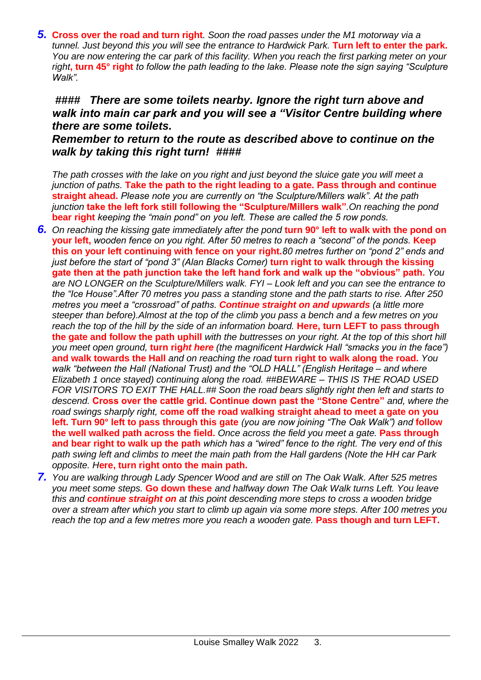*5.* **Cross over the road and turn right***. Soon the road passes under the M1 motorway via a tunnel. Just beyond this you will see the entrance to Hardwick Park.* **Turn left to enter the park.** *You are now entering the car park of this facility. When you reach the first parking meter on your right***, turn 45° right** *to follow the path leading to the lake. Please note the sign saying "Sculpture Walk".*

#### *#### There are some toilets nearby. Ignore the right turn above and walk into main car park and you will see a "Visitor Centre building where there are some toilets.*

#### *Remember to return to the route as described above to continue on the walk by taking this right turn! ####*

*The path crosses with the lake on you right and just beyond the sluice gate you will meet a junction of paths.* **Take the path to the right leading to a gate. Pass through and continue straight ahead.** *Please note you are currently on "the Sculpture/Millers walk". At the path junction* **take the left fork still following the "Sculpture/Millers walk"***.On reaching the pond*  **bear right** *keeping the "main pond" on you left. These are called the 5 row ponds.*

- **6.** On reaching the kissing gate immediately after the pond **turn 90° left to walk with the pond on your left,** *wooden fence on you right. After 50 metres to reach a "second" of the ponds.* **Keep this on your left continuing with fence on your right.***80 metres further on "pond 2" ends and just before the start of "pond 3" (Alan Blacks Corner)* **turn right to walk through the kissing gate then at the path junction take the left hand fork and walk up the "obvious" path.** *You are NO LONGER on the Sculpture/Millers walk. FYI – Look left and you can see the entrance to the "Ice House".After 70 metres you pass a standing stone and the path starts to rise. After 250 metres you meet a "crossroad" of paths. Continue straight on and upwards (a little more steeper than before).Almost at the top of the climb you pass a bench and a few metres on you reach the top of the hill by the side of an information board.* **Here, turn LEFT to pass through the gate and follow the path uphill** *with the buttresses on your right. At the top of this short hill you meet open ground,* **turn rig***ht here (the magnificent Hardwick Hall "smacks you in the face")* **and walk towards the Hall** *and on reaching the road* **turn right to walk along the road.** *You walk "between the Hall (National Trust) and the "OLD HALL" (English Heritage – and where Elizabeth 1 once stayed) continuing along the road. ##BEWARE – THIS IS THE ROAD USED FOR VISITORS TO EXIT THE HALL.## Soon the road bears slightly right then left and starts to descend.* **Cross over the cattle grid. Continue down past the "Stone Centre"** *and, where the road swings sharply right,* **come off the road walking straight ahead to meet a gate on you left. Turn 90° left to pass through this gate** *(you are now joining "The Oak Walk") and* **follow the well walked path across the field.** *Once across the field you meet a gate.* **Pass through and bear right to walk up the path** *which has a "wired" fence to the right. The very end of this path swing left and climbs to meet the main path from the Hall gardens (Note the HH car Park opposite. H***ere, turn right onto the main path.**
- *7. You are walking through Lady Spencer Wood and are still on The Oak Walk. After 525 metres you meet some steps.* **Go down these** *and halfway down The Oak Walk turns Left. You leave this and continue straight on at this point descending more steps to cross a wooden bridge over a stream after which you start to climb up again via some more steps. After 100 metres you reach the top and a few metres more you reach a wooden gate.* **Pass though and turn LEFT.**